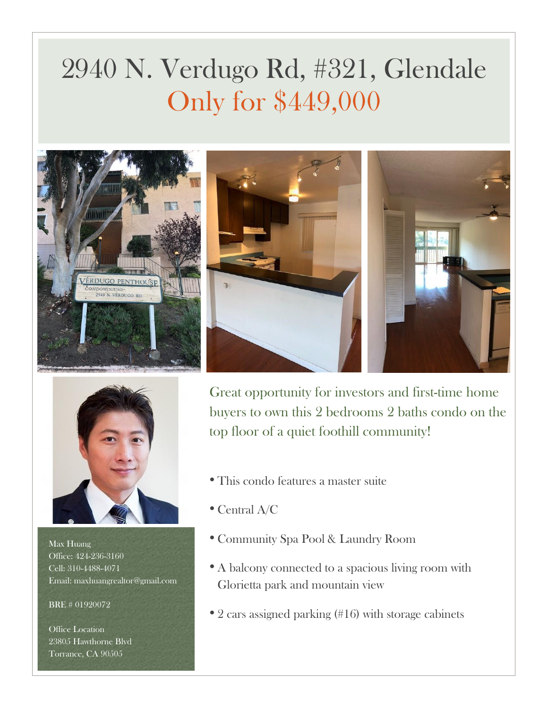## 2940 N. Verdugo Rd, #321, Glendale Only for \$449,000







Max Huang Office: 424-236-3160 Cell: 310-4488-4071 Email: maxhuangrealtor@gmail.com

BRE # 01920072

Office Location 23805 Hawthorne Blvd Torrance, CA 90505

Great opportunity for investors and first-time home buyers to own this 2 bedrooms 2 baths condo on the top floor of a quiet foothill community!

- This condo features a master suite
- Central A/C
- Community Spa Pool & Laundry Room
- A balcony connected to a spacious living room with Glorietta park and mountain view
- 2 cars assigned parking (#16) with storage cabinets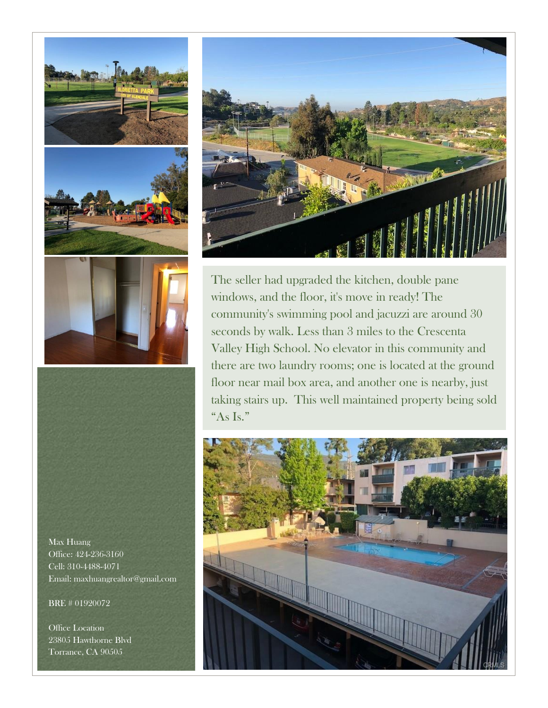

Max Huang Office: 424-236-3160 Cell: 310-4488-4071 Email: maxhuangrealtor@gmail.com

BRE # 01920072

Office Location 23805 Hawthorne Blvd Torrance, CA 90505



The seller had upgraded the kitchen, double pane windows, and the floor, it's move in ready! The community's swimming pool and jacuzzi are around 30 seconds by walk. Less than 3 miles to the Crescenta Valley High School. No elevator in this community and there are two laundry rooms; one is located at the ground floor near mail box area, and another one is nearby, just taking stairs up. This well maintained property being sold "As Is."